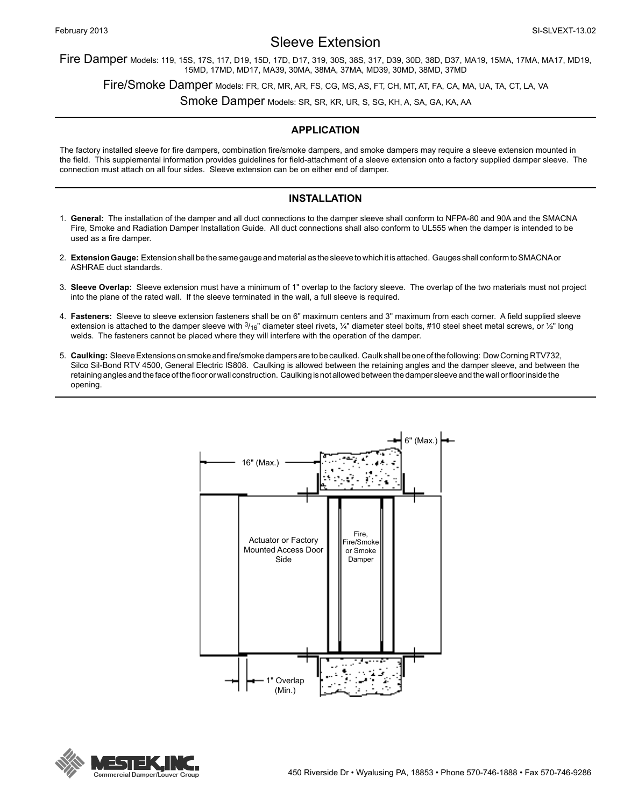## Sleeve Extension

Fire Damper Models: 119, 15S, 17S, 117, D19, 15D, 17D, D17, 319, 30S, 38S, 317, D39, 30D, 38D, D37, MA19, 15MA, 17MA, MA17, MD19, 15MD, 17MD, MD17, MA39, 30MA, 38MA, 37MA, MD39, 30MD, 38MD, 37MD

Fire/Smoke Damper Models: FR, CR, MR, AR, FS, CG, MS, AS, FT, CH, MT, AT, FA, CA, MA, UA, TA, CT, LA, VA

Smoke Damper Models: SR, SR, KR, UR, S, SG, KH, A, SA, GA, KA, AA

### **APPLICATION**

The factory installed sleeve for fire dampers, combination fire/smoke dampers, and smoke dampers may require a sleeve extension mounted in the field. This supplemental information provides guidelines for field-attachment of a sleeve extension onto a factory supplied damper sleeve. The connection must attach on all four sides. Sleeve extension can be on either end of damper.

#### **INSTALLATION**

- 1. **General:** The installation of the damper and all duct connections to the damper sleeve shall conform to NFPA-80 and 90A and the SMACNA Fire, Smoke and Radiation Damper Installation Guide. All duct connections shall also conform to UL555 when the damper is intended to be used as a fire damper.
- 2. **Extension Gauge:** Extension shall be the same gauge and material as the sleeve to which it is attached. Gauges shall conform to SMACNA or ASHRAE duct standards.
- 3. **Sleeve Overlap:** Sleeve extension must have a minimum of 1" overlap to the factory sleeve. The overlap of the two materials must not project into the plane of the rated wall. If the sleeve terminated in the wall, a full sleeve is required.
- 4. **Fasteners:** Sleeve to sleeve extension fasteners shall be on 6" maximum centers and 3" maximum from each corner. A field supplied sleeve extension is attached to the damper sleeve with  $\frac{3}{16}$ " diameter steel rivets,  $\frac{1}{4}$ " diameter steel bolts, #10 steel sheet metal screws, or  $\frac{1}{2}$ " long welds. The fasteners cannot be placed where they will interfere with the operation of the damper.
- 5. **Caulking:** Sleeve Extensions on smoke and fire/smoke dampers are to be caulked. Caulk shall be one of the following: Dow Corning RTV732, Silco Sil-Bond RTV 4500, General Electric IS808. Caulking is allowed between the retaining angles and the damper sleeve, and between the retaining angles and the face of the floor or wall construction. Caulking is not allowed between the damper sleeve and the wall or floor inside the opening.